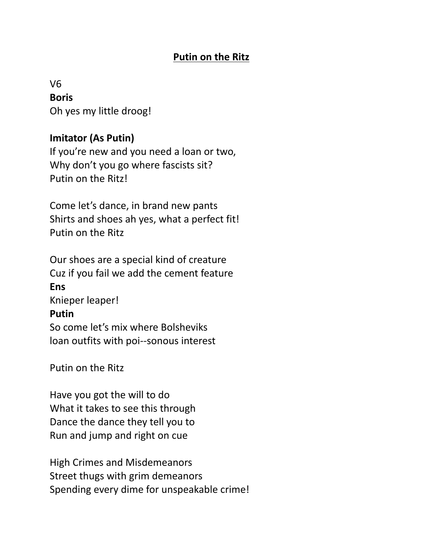#### **Putin on the Ritz**

# V6 **Boris** Oh yes my little droog!

# **Imitator (As Putin)**

If you're new and you need a loan or two, Why don't you go where fascists sit? Putin on the Ritz!

Come let's dance, in brand new pants Shirts and shoes ah yes, what a perfect fit! Putin on the Ritz

Our shoes are a special kind of creature Cuz if you fail we add the cement feature **Ens** Knieper leaper! **Putin** So come let's mix where Bolsheviks loan outfits with poi--sonous interest

Putin on the Ritz

Have you got the will to do What it takes to see this through Dance the dance they tell you to Run and jump and right on cue

High Crimes and Misdemeanors Street thugs with grim demeanors Spending every dime for unspeakable crime!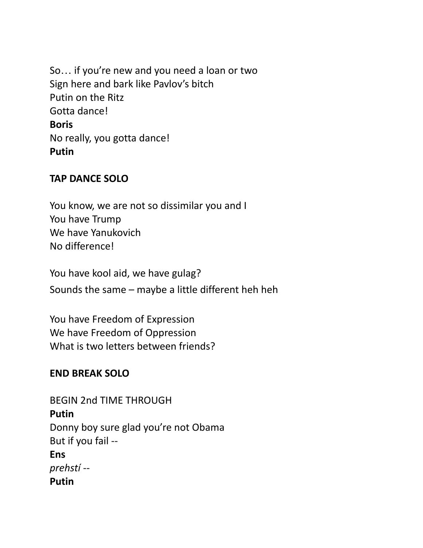So… if you're new and you need a loan or two Sign here and bark like Pavlov's bitch Putin on the Ritz Gotta dance! **Boris** No really, you gotta dance! **Putin**

#### **TAP DANCE SOLO**

You know, we are not so dissimilar you and I You have Trump We have Yanukovich No difference!

You have kool aid, we have gulag?

Sounds the same – maybe a little different heh heh

You have Freedom of Expression We have Freedom of Oppression What is two letters between friends?

#### **END BREAK SOLO**

BEGIN 2nd TIME THROUGH **Putin** Donny boy sure glad you're not Obama But if you fail -- **Ens** *prehstí* -- **Putin**